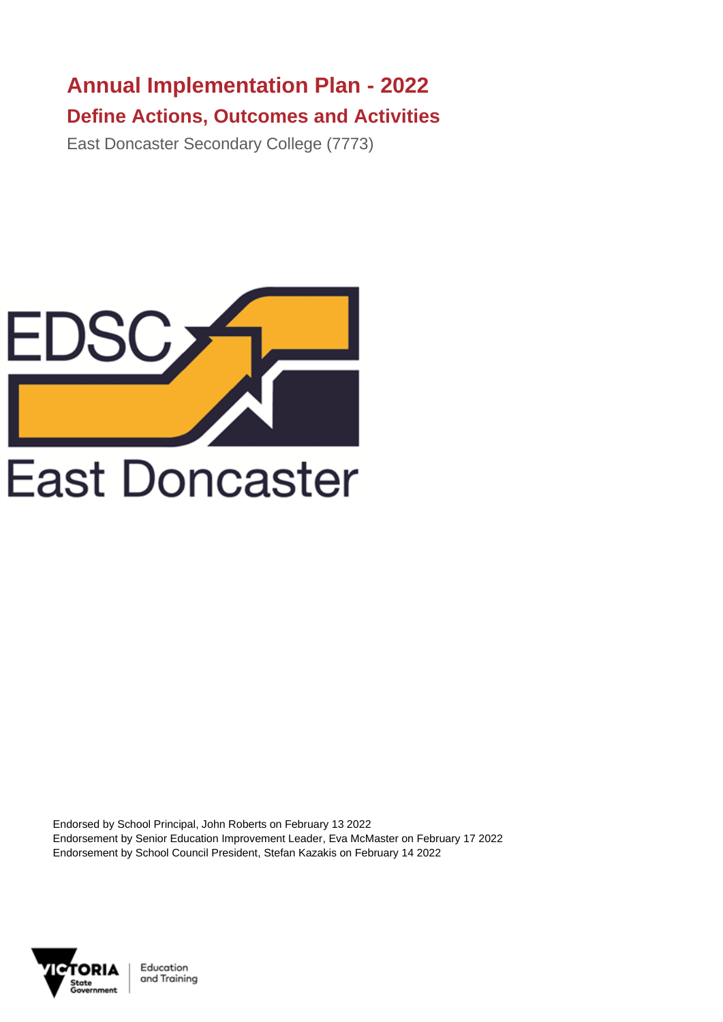## **Annual Implementation Plan - 2022 Define Actions, Outcomes and Activities**

East Doncaster Secondary College (7773)



Endorsed by School Principal, John Roberts on February 13 2022 Endorsement by Senior Education Improvement Leader, Eva McMaster on February 17 2022 Endorsement by School Council President, Stefan Kazakis on February 14 2022



Education and Training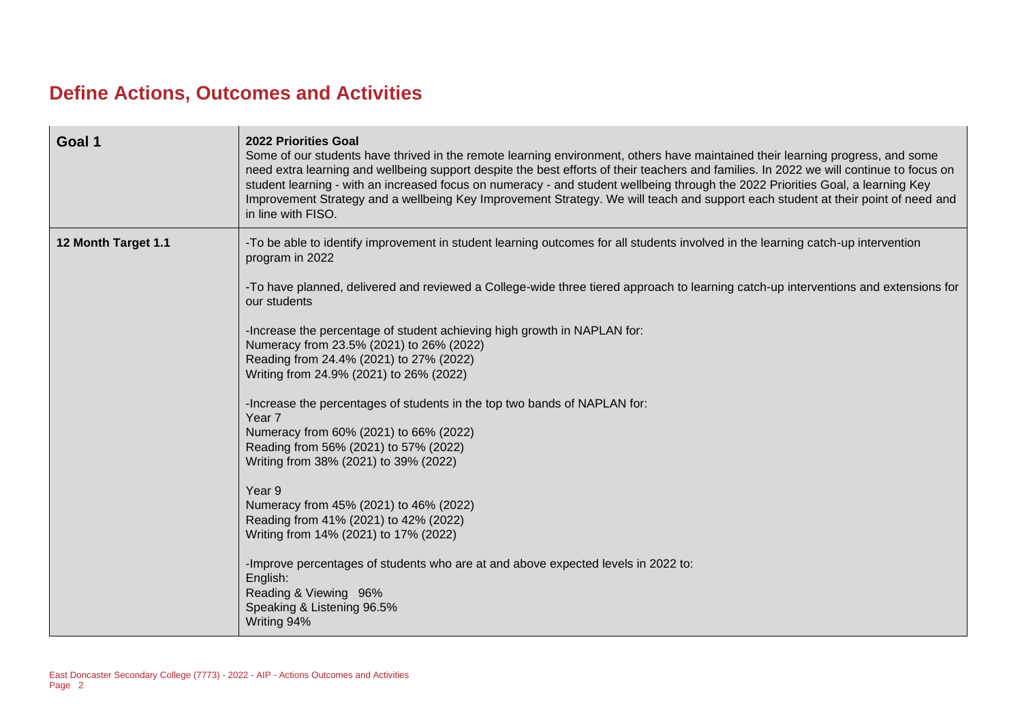## **Define Actions, Outcomes and Activities**

| Goal 1              | 2022 Priorities Goal<br>Some of our students have thrived in the remote learning environment, others have maintained their learning progress, and some<br>need extra learning and wellbeing support despite the best efforts of their teachers and families. In 2022 we will continue to focus on<br>student learning - with an increased focus on numeracy - and student wellbeing through the 2022 Priorities Goal, a learning Key<br>Improvement Strategy and a wellbeing Key Improvement Strategy. We will teach and support each student at their point of need and<br>in line with FISO. |
|---------------------|------------------------------------------------------------------------------------------------------------------------------------------------------------------------------------------------------------------------------------------------------------------------------------------------------------------------------------------------------------------------------------------------------------------------------------------------------------------------------------------------------------------------------------------------------------------------------------------------|
| 12 Month Target 1.1 | -To be able to identify improvement in student learning outcomes for all students involved in the learning catch-up intervention<br>program in 2022                                                                                                                                                                                                                                                                                                                                                                                                                                            |
|                     | -To have planned, delivered and reviewed a College-wide three tiered approach to learning catch-up interventions and extensions for<br>our students                                                                                                                                                                                                                                                                                                                                                                                                                                            |
|                     | -Increase the percentage of student achieving high growth in NAPLAN for:<br>Numeracy from 23.5% (2021) to 26% (2022)                                                                                                                                                                                                                                                                                                                                                                                                                                                                           |
|                     | Reading from 24.4% (2021) to 27% (2022)<br>Writing from 24.9% (2021) to 26% (2022)                                                                                                                                                                                                                                                                                                                                                                                                                                                                                                             |
|                     | -Increase the percentages of students in the top two bands of NAPLAN for:<br>Year <sub>7</sub>                                                                                                                                                                                                                                                                                                                                                                                                                                                                                                 |
|                     | Numeracy from 60% (2021) to 66% (2022)<br>Reading from 56% (2021) to 57% (2022)                                                                                                                                                                                                                                                                                                                                                                                                                                                                                                                |
|                     | Writing from 38% (2021) to 39% (2022)                                                                                                                                                                                                                                                                                                                                                                                                                                                                                                                                                          |
|                     | Year 9                                                                                                                                                                                                                                                                                                                                                                                                                                                                                                                                                                                         |
|                     | Numeracy from 45% (2021) to 46% (2022)<br>Reading from 41% (2021) to 42% (2022)                                                                                                                                                                                                                                                                                                                                                                                                                                                                                                                |
|                     | Writing from 14% (2021) to 17% (2022)                                                                                                                                                                                                                                                                                                                                                                                                                                                                                                                                                          |
|                     | -Improve percentages of students who are at and above expected levels in 2022 to:<br>English:                                                                                                                                                                                                                                                                                                                                                                                                                                                                                                  |
|                     | Reading & Viewing 96%                                                                                                                                                                                                                                                                                                                                                                                                                                                                                                                                                                          |
|                     | Speaking & Listening 96.5%<br>Writing 94%                                                                                                                                                                                                                                                                                                                                                                                                                                                                                                                                                      |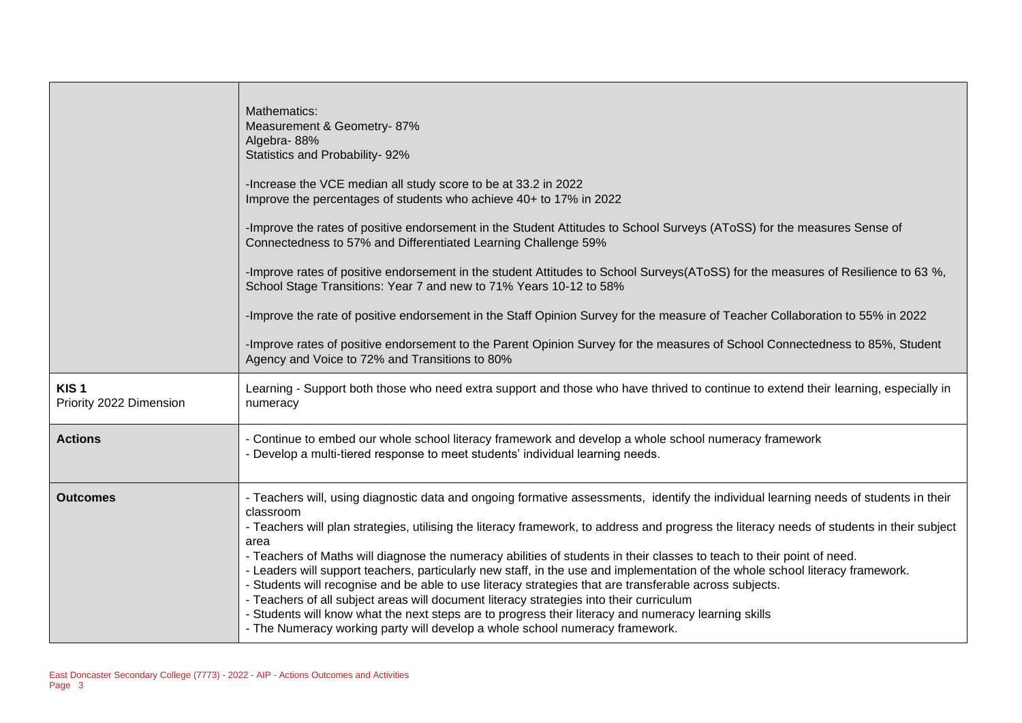|                                             | Mathematics:<br>Measurement & Geometry-87%<br>Algebra-88%<br>Statistics and Probability- 92%<br>-Increase the VCE median all study score to be at 33.2 in 2022<br>Improve the percentages of students who achieve 40+ to 17% in 2022<br>-Improve the rates of positive endorsement in the Student Attitudes to School Surveys (AToSS) for the measures Sense of<br>Connectedness to 57% and Differentiated Learning Challenge 59%<br>-Improve rates of positive endorsement in the student Attitudes to School Surveys(AToSS) for the measures of Resilience to 63 %,<br>School Stage Transitions: Year 7 and new to 71% Years 10-12 to 58%<br>-Improve the rate of positive endorsement in the Staff Opinion Survey for the measure of Teacher Collaboration to 55% in 2022<br>-Improve rates of positive endorsement to the Parent Opinion Survey for the measures of School Connectedness to 85%, Student<br>Agency and Voice to 72% and Transitions to 80%     |
|---------------------------------------------|--------------------------------------------------------------------------------------------------------------------------------------------------------------------------------------------------------------------------------------------------------------------------------------------------------------------------------------------------------------------------------------------------------------------------------------------------------------------------------------------------------------------------------------------------------------------------------------------------------------------------------------------------------------------------------------------------------------------------------------------------------------------------------------------------------------------------------------------------------------------------------------------------------------------------------------------------------------------|
| KIS <sub>1</sub><br>Priority 2022 Dimension | Learning - Support both those who need extra support and those who have thrived to continue to extend their learning, especially in<br>numeracy                                                                                                                                                                                                                                                                                                                                                                                                                                                                                                                                                                                                                                                                                                                                                                                                                    |
| <b>Actions</b>                              | - Continue to embed our whole school literacy framework and develop a whole school numeracy framework<br>- Develop a multi-tiered response to meet students' individual learning needs.                                                                                                                                                                                                                                                                                                                                                                                                                                                                                                                                                                                                                                                                                                                                                                            |
| <b>Outcomes</b>                             | - Teachers will, using diagnostic data and ongoing formative assessments, identify the individual learning needs of students in their<br>classroom<br>- Teachers will plan strategies, utilising the literacy framework, to address and progress the literacy needs of students in their subject<br>area<br>- Teachers of Maths will diagnose the numeracy abilities of students in their classes to teach to their point of need.<br>- Leaders will support teachers, particularly new staff, in the use and implementation of the whole school literacy framework.<br>- Students will recognise and be able to use literacy strategies that are transferable across subjects.<br>- Teachers of all subject areas will document literacy strategies into their curriculum<br>- Students will know what the next steps are to progress their literacy and numeracy learning skills<br>- The Numeracy working party will develop a whole school numeracy framework. |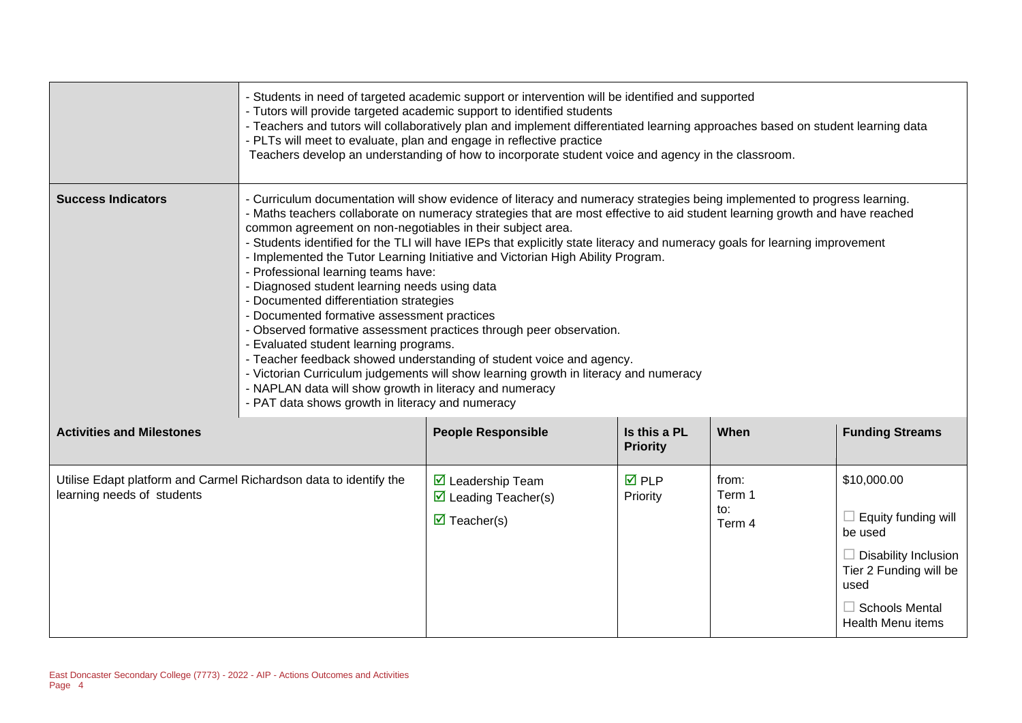|                                                                                                 | - Students in need of targeted academic support or intervention will be identified and supported<br>- Tutors will provide targeted academic support to identified students<br>- Teachers and tutors will collaboratively plan and implement differentiated learning approaches based on student learning data<br>- PLTs will meet to evaluate, plan and engage in reflective practice<br>Teachers develop an understanding of how to incorporate student voice and agency in the classroom.                                                                                                                                                                                                                                                                                                                                                                                                                                                                                                                                                                                                                                |                                                                                                              |                                 |                                  |                                                                                                                                                                            |
|-------------------------------------------------------------------------------------------------|----------------------------------------------------------------------------------------------------------------------------------------------------------------------------------------------------------------------------------------------------------------------------------------------------------------------------------------------------------------------------------------------------------------------------------------------------------------------------------------------------------------------------------------------------------------------------------------------------------------------------------------------------------------------------------------------------------------------------------------------------------------------------------------------------------------------------------------------------------------------------------------------------------------------------------------------------------------------------------------------------------------------------------------------------------------------------------------------------------------------------|--------------------------------------------------------------------------------------------------------------|---------------------------------|----------------------------------|----------------------------------------------------------------------------------------------------------------------------------------------------------------------------|
| <b>Success Indicators</b>                                                                       | - Curriculum documentation will show evidence of literacy and numeracy strategies being implemented to progress learning.<br>- Maths teachers collaborate on numeracy strategies that are most effective to aid student learning growth and have reached<br>common agreement on non-negotiables in their subject area.<br>- Students identified for the TLI will have IEPs that explicitly state literacy and numeracy goals for learning improvement<br>- Implemented the Tutor Learning Initiative and Victorian High Ability Program.<br>- Professional learning teams have:<br>- Diagnosed student learning needs using data<br>- Documented differentiation strategies<br>- Documented formative assessment practices<br>- Observed formative assessment practices through peer observation.<br>- Evaluated student learning programs.<br>- Teacher feedback showed understanding of student voice and agency.<br>- Victorian Curriculum judgements will show learning growth in literacy and numeracy<br>- NAPLAN data will show growth in literacy and numeracy<br>- PAT data shows growth in literacy and numeracy |                                                                                                              |                                 |                                  |                                                                                                                                                                            |
| <b>Activities and Milestones</b>                                                                |                                                                                                                                                                                                                                                                                                                                                                                                                                                                                                                                                                                                                                                                                                                                                                                                                                                                                                                                                                                                                                                                                                                            | <b>People Responsible</b>                                                                                    | Is this a PL<br><b>Priority</b> | When                             | <b>Funding Streams</b>                                                                                                                                                     |
| Utilise Edapt platform and Carmel Richardson data to identify the<br>learning needs of students |                                                                                                                                                                                                                                                                                                                                                                                                                                                                                                                                                                                                                                                                                                                                                                                                                                                                                                                                                                                                                                                                                                                            | $\triangledown$ Leadership Team<br>$\triangleright$ Leading Teacher(s)<br>$\overline{\mathbf{M}}$ Teacher(s) | <b>☑</b> PLP<br>Priority        | from:<br>Term 1<br>to:<br>Term 4 | \$10,000.00<br>$\Box$ Equity funding will<br>be used<br>$\Box$ Disability Inclusion<br>Tier 2 Funding will be<br>used<br>$\Box$ Schools Mental<br><b>Health Menu items</b> |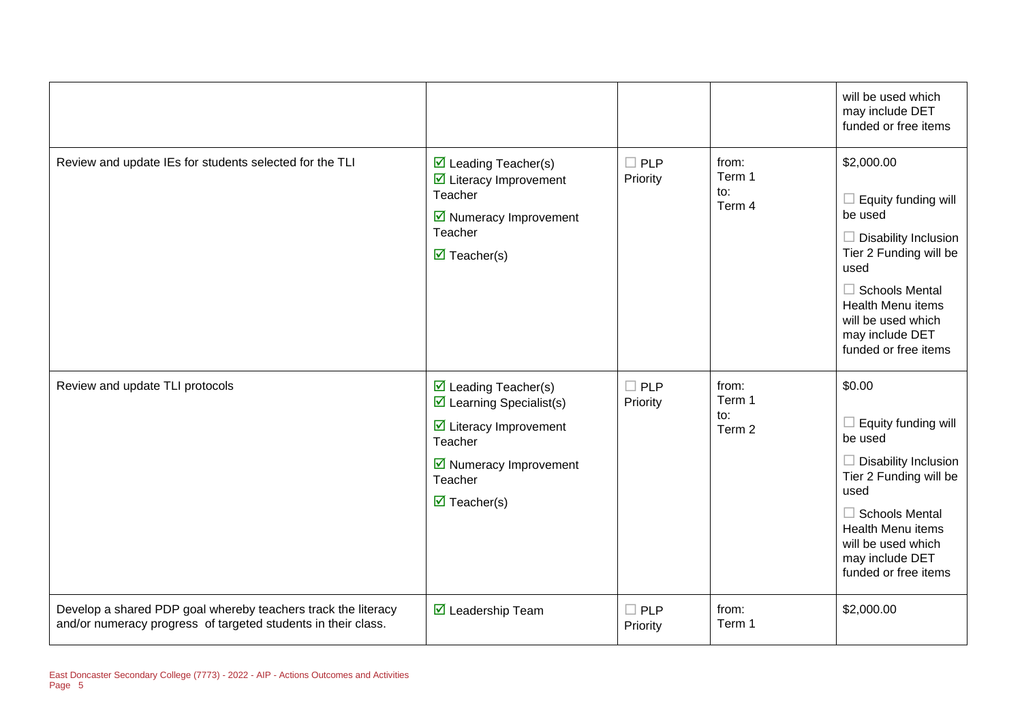|                                                                                                                                |                                                                                                                                                                                                                              |                        |                                  | will be used which<br>may include DET<br>funded or free items                                                                                                                                                                              |
|--------------------------------------------------------------------------------------------------------------------------------|------------------------------------------------------------------------------------------------------------------------------------------------------------------------------------------------------------------------------|------------------------|----------------------------------|--------------------------------------------------------------------------------------------------------------------------------------------------------------------------------------------------------------------------------------------|
| Review and update IEs for students selected for the TLI                                                                        | $\triangleright$ Leading Teacher(s)<br>$\triangleright$ Literacy Improvement<br>Teacher<br>■ Numeracy Improvement<br>Teacher<br>$\triangledown$ Teacher(s)                                                                   | $\Box$ PLP<br>Priority | from:<br>Term 1<br>to:<br>Term 4 | \$2,000.00<br>$\Box$ Equity funding will<br>be used<br>$\Box$ Disability Inclusion<br>Tier 2 Funding will be<br>used<br>$\Box$ Schools Mental<br><b>Health Menu items</b><br>will be used which<br>may include DET<br>funded or free items |
| Review and update TLI protocols                                                                                                | $\triangleright$ Leading Teacher(s)<br>$\triangleright$ Learning Specialist(s)<br>$\triangleright$ Literacy Improvement<br>Teacher<br>$\triangleright$ Numeracy Improvement<br>Teacher<br>$\overline{\mathbf{M}}$ Teacher(s) | $\Box$ PLP<br>Priority | from:<br>Term 1<br>to:<br>Term 2 | \$0.00<br>Equity funding will<br>$\Box$<br>be used<br>$\Box$ Disability Inclusion<br>Tier 2 Funding will be<br>used<br>$\Box$ Schools Mental<br><b>Health Menu items</b><br>will be used which<br>may include DET<br>funded or free items  |
| Develop a shared PDP goal whereby teachers track the literacy<br>and/or numeracy progress of targeted students in their class. | $\overline{\mathbf{M}}$ Leadership Team                                                                                                                                                                                      | $\Box$ PLP<br>Priority | from:<br>Term 1                  | \$2,000.00                                                                                                                                                                                                                                 |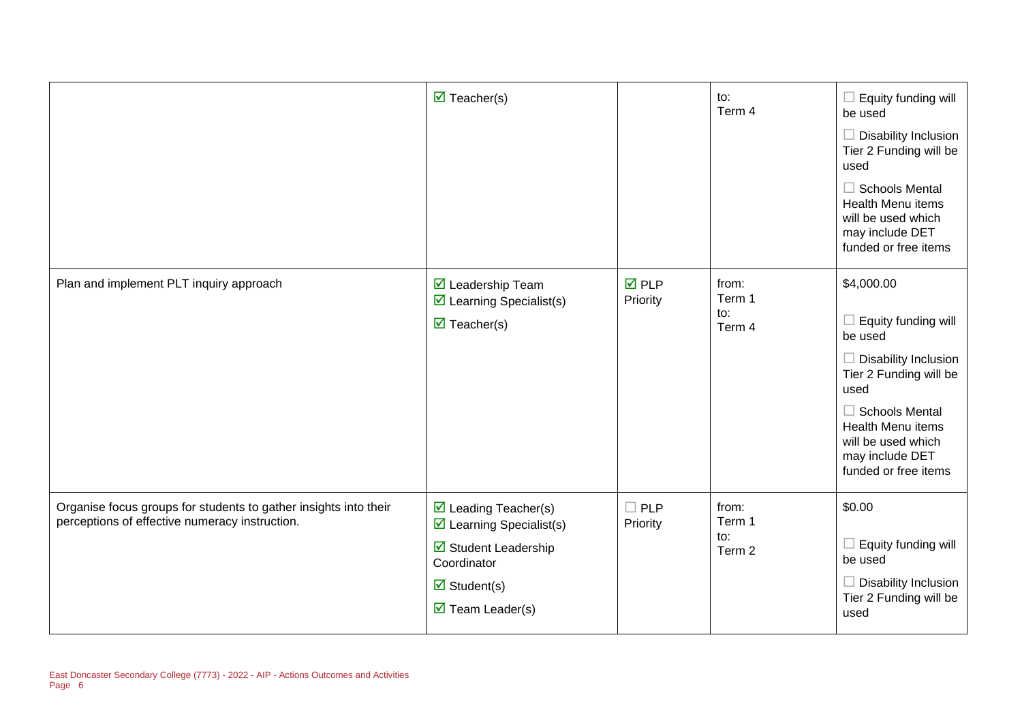|                                                                                                                    | $\overline{\mathbf{M}}$ Teacher(s)                                                                                                                                                                 |                                | to:<br>Term 4                    | $\Box$ Equity funding will<br>be used<br>$\Box$ Disability Inclusion<br>Tier 2 Funding will be<br>used<br><b>Schools Mental</b><br>$\Box$<br><b>Health Menu items</b><br>will be used which<br>may include DET<br>funded or free items |
|--------------------------------------------------------------------------------------------------------------------|----------------------------------------------------------------------------------------------------------------------------------------------------------------------------------------------------|--------------------------------|----------------------------------|----------------------------------------------------------------------------------------------------------------------------------------------------------------------------------------------------------------------------------------|
| Plan and implement PLT inquiry approach                                                                            | ☑ Leadership Team<br>$\triangleright$ Learning Specialist(s)<br>$\overline{\mathbf{M}}$ Teacher(s)                                                                                                 | $\overline{M}$ PLP<br>Priority | from:<br>Term 1<br>to:<br>Term 4 | \$4,000.00<br>$\Box$ Equity funding will<br>be used<br>Disability Inclusion<br>Tier 2 Funding will be<br>used<br>$\Box$ Schools Mental<br>Health Menu items<br>will be used which<br>may include DET<br>funded or free items           |
| Organise focus groups for students to gather insights into their<br>perceptions of effective numeracy instruction. | $\triangleright$ Leading Teacher(s)<br>$\boxtimes$ Learning Specialist(s)<br>$\boxtimes$ Student Leadership<br>Coordinator<br>$\overline{\mathbf{z}}$ Student(s)<br>$\triangledown$ Team Leader(s) | $\square$ PLP<br>Priority      | from:<br>Term 1<br>to:<br>Term 2 | \$0.00<br>$\Box$ Equity funding will<br>be used<br>Disability Inclusion<br>Tier 2 Funding will be<br>used                                                                                                                              |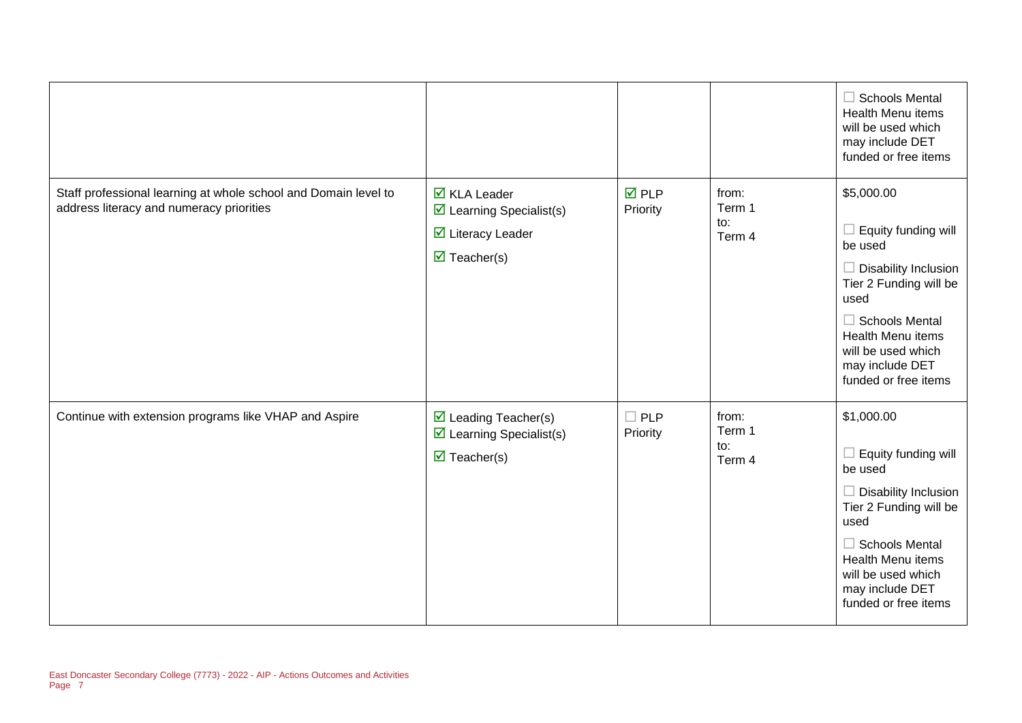|                                                                                                             |                                                                                                                                  |                                |                                  | $\Box$ Schools Mental<br><b>Health Menu items</b><br>will be used which<br>may include DET<br>funded or free items                                                                                                                                       |
|-------------------------------------------------------------------------------------------------------------|----------------------------------------------------------------------------------------------------------------------------------|--------------------------------|----------------------------------|----------------------------------------------------------------------------------------------------------------------------------------------------------------------------------------------------------------------------------------------------------|
| Staff professional learning at whole school and Domain level to<br>address literacy and numeracy priorities | $\overline{\mathbf{M}}$ KLA Leader<br>$\triangleright$ Learning Specialist(s)<br>☑ Literacy Leader<br>$\triangledown$ Teacher(s) | $\overline{M}$ PLP<br>Priority | from:<br>Term 1<br>to:<br>Term 4 | \$5,000.00<br>Equity funding will<br>be used<br><b>Disability Inclusion</b><br>$\Box$<br>Tier 2 Funding will be<br>used<br>$\Box$ Schools Mental<br>Health Menu items<br>will be used which<br>may include DET<br>funded or free items                   |
| Continue with extension programs like VHAP and Aspire                                                       | $\triangleright$ Leading Teacher(s)<br>$\triangleright$ Learning Specialist(s)<br>$\overline{\mathbf{M}}$ Teacher(s)             | $\Box$ PLP<br>Priority         | from:<br>Term 1<br>to:<br>Term 4 | \$1,000.00<br>Equity funding will<br>$\overline{\phantom{a}}$<br>be used<br>$\Box$ Disability Inclusion<br>Tier 2 Funding will be<br>used<br>$\Box$ Schools Mental<br>Health Menu items<br>will be used which<br>may include DET<br>funded or free items |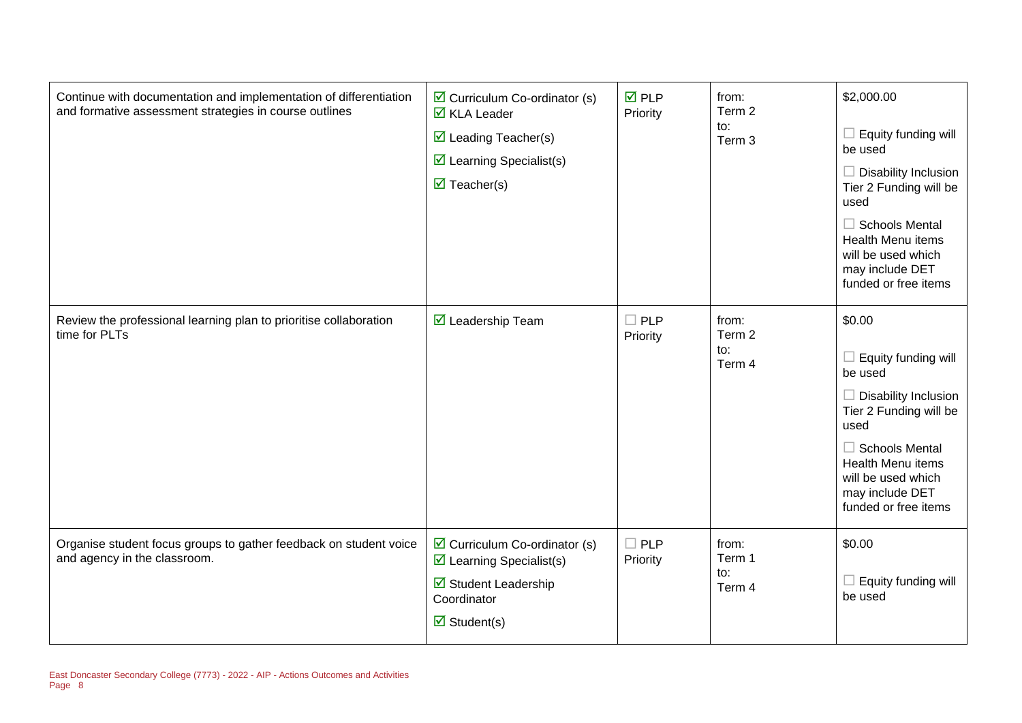| Continue with documentation and implementation of differentiation<br>and formative assessment strategies in course outlines | $\triangleright$ Curriculum Co-ordinator (s)<br>$\overline{\mathbf{M}}$ KLA Leader<br>$\triangleright$ Leading Teacher(s)<br>$\triangleright$ Learning Specialist(s)<br>$\triangledown$ Teacher(s) | <b>☑</b> PLP<br>Priority | from:<br>Term 2<br>to:<br>Term 3 | \$2,000.00<br>$\Box$ Equity funding will<br>be used<br>$\Box$ Disability Inclusion<br>Tier 2 Funding will be<br>used<br>$\Box$ Schools Mental<br>Health Menu items<br>will be used which<br>may include DET<br>funded or free items |
|-----------------------------------------------------------------------------------------------------------------------------|----------------------------------------------------------------------------------------------------------------------------------------------------------------------------------------------------|--------------------------|----------------------------------|-------------------------------------------------------------------------------------------------------------------------------------------------------------------------------------------------------------------------------------|
| Review the professional learning plan to prioritise collaboration<br>time for PLTs                                          | $\overline{\mathbf{M}}$ Leadership Team                                                                                                                                                            | $\Box$ PLP<br>Priority   | from:<br>Term 2<br>to:<br>Term 4 | \$0.00<br>$\Box$ Equity funding will<br>be used<br>$\Box$ Disability Inclusion<br>Tier 2 Funding will be<br>used<br>$\Box$ Schools Mental<br>Health Menu items<br>will be used which<br>may include DET<br>funded or free items     |
| Organise student focus groups to gather feedback on student voice<br>and agency in the classroom.                           | $\triangleright$ Curriculum Co-ordinator (s)<br>$\triangleright$ Learning Specialist(s)<br>Student Leadership<br>Coordinator<br>$\overline{\mathbf{M}}$ Student(s)                                 | $\Box$ PLP<br>Priority   | from:<br>Term 1<br>to:<br>Term 4 | \$0.00<br>$\Box$ Equity funding will<br>be used                                                                                                                                                                                     |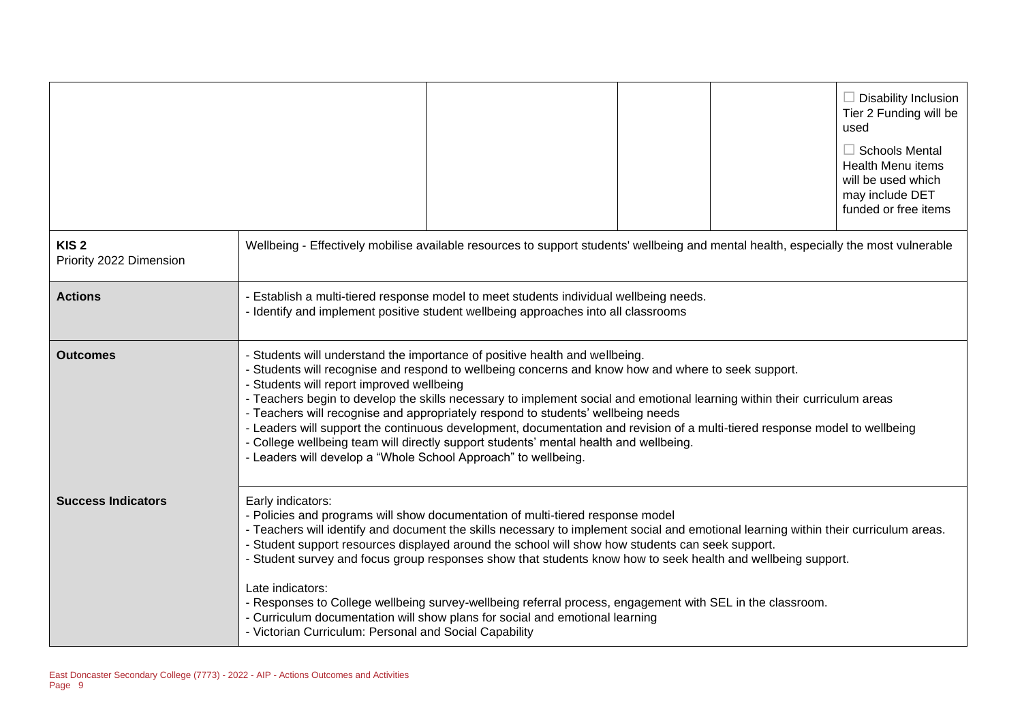|                                             |                                                                                                                                                                                                                                                                                                                                                                                                                                                                                                                                                                                                                                                                                                                                            |                                                                                                                                                                                                                                                                                                                                                                                                                                                                                                                                                                                                                                         |  |  | $\Box$ Disability Inclusion<br>Tier 2 Funding will be<br>used<br>$\Box$ Schools Mental<br>Health Menu items<br>will be used which<br>may include DET<br>funded or free items |
|---------------------------------------------|--------------------------------------------------------------------------------------------------------------------------------------------------------------------------------------------------------------------------------------------------------------------------------------------------------------------------------------------------------------------------------------------------------------------------------------------------------------------------------------------------------------------------------------------------------------------------------------------------------------------------------------------------------------------------------------------------------------------------------------------|-----------------------------------------------------------------------------------------------------------------------------------------------------------------------------------------------------------------------------------------------------------------------------------------------------------------------------------------------------------------------------------------------------------------------------------------------------------------------------------------------------------------------------------------------------------------------------------------------------------------------------------------|--|--|------------------------------------------------------------------------------------------------------------------------------------------------------------------------------|
| KIS <sub>2</sub><br>Priority 2022 Dimension |                                                                                                                                                                                                                                                                                                                                                                                                                                                                                                                                                                                                                                                                                                                                            | Wellbeing - Effectively mobilise available resources to support students' wellbeing and mental health, especially the most vulnerable                                                                                                                                                                                                                                                                                                                                                                                                                                                                                                   |  |  |                                                                                                                                                                              |
| <b>Actions</b>                              | - Establish a multi-tiered response model to meet students individual wellbeing needs.<br>- Identify and implement positive student wellbeing approaches into all classrooms                                                                                                                                                                                                                                                                                                                                                                                                                                                                                                                                                               |                                                                                                                                                                                                                                                                                                                                                                                                                                                                                                                                                                                                                                         |  |  |                                                                                                                                                                              |
| <b>Outcomes</b>                             | - Students will understand the importance of positive health and wellbeing.<br>- Students will recognise and respond to wellbeing concerns and know how and where to seek support.<br>- Students will report improved wellbeing<br>- Teachers begin to develop the skills necessary to implement social and emotional learning within their curriculum areas<br>- Teachers will recognise and appropriately respond to students' wellbeing needs<br>- Leaders will support the continuous development, documentation and revision of a multi-tiered response model to wellbeing<br>- College wellbeing team will directly support students' mental health and wellbeing.<br>- Leaders will develop a "Whole School Approach" to wellbeing. |                                                                                                                                                                                                                                                                                                                                                                                                                                                                                                                                                                                                                                         |  |  |                                                                                                                                                                              |
| <b>Success Indicators</b>                   | Early indicators:<br>Late indicators:<br>- Victorian Curriculum: Personal and Social Capability                                                                                                                                                                                                                                                                                                                                                                                                                                                                                                                                                                                                                                            | - Policies and programs will show documentation of multi-tiered response model<br>- Teachers will identify and document the skills necessary to implement social and emotional learning within their curriculum areas.<br>- Student support resources displayed around the school will show how students can seek support.<br>- Student survey and focus group responses show that students know how to seek health and wellbeing support.<br>- Responses to College wellbeing survey-wellbeing referral process, engagement with SEL in the classroom.<br>- Curriculum documentation will show plans for social and emotional learning |  |  |                                                                                                                                                                              |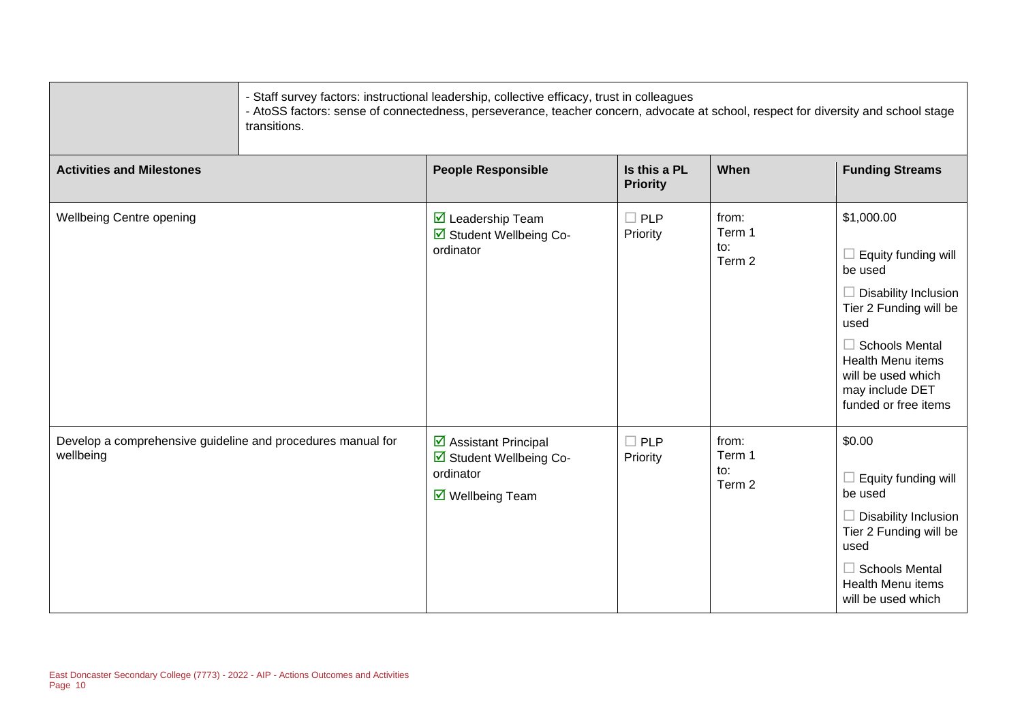| transitions.                                                             | - Staff survey factors: instructional leadership, collective efficacy, trust in colleagues<br>- AtoSS factors: sense of connectedness, perseverance, teacher concern, advocate at school, respect for diversity and school stage |                                 |                                  |                                                                                                                                                                                                                                            |
|--------------------------------------------------------------------------|----------------------------------------------------------------------------------------------------------------------------------------------------------------------------------------------------------------------------------|---------------------------------|----------------------------------|--------------------------------------------------------------------------------------------------------------------------------------------------------------------------------------------------------------------------------------------|
| <b>Activities and Milestones</b>                                         | <b>People Responsible</b>                                                                                                                                                                                                        | Is this a PL<br><b>Priority</b> | When                             | <b>Funding Streams</b>                                                                                                                                                                                                                     |
| Wellbeing Centre opening                                                 | ☑ Leadership Team<br>☑ Student Wellbeing Co-<br>ordinator                                                                                                                                                                        | $\Box$ PLP<br>Priority          | from:<br>Term 1<br>to:<br>Term 2 | \$1,000.00<br>$\Box$ Equity funding will<br>be used<br>$\Box$ Disability Inclusion<br>Tier 2 Funding will be<br>used<br>$\Box$ Schools Mental<br><b>Health Menu items</b><br>will be used which<br>may include DET<br>funded or free items |
| Develop a comprehensive guideline and procedures manual for<br>wellbeing | ☑ Assistant Principal<br>☑ Student Wellbeing Co-<br>ordinator<br>$\triangledown$ Wellbeing Team                                                                                                                                  | $\square$ PLP<br>Priority       | from:<br>Term 1<br>to:<br>Term 2 | \$0.00<br>$\Box$ Equity funding will<br>be used<br>$\Box$ Disability Inclusion<br>Tier 2 Funding will be<br>used<br>$\Box$ Schools Mental<br><b>Health Menu items</b><br>will be used which                                                |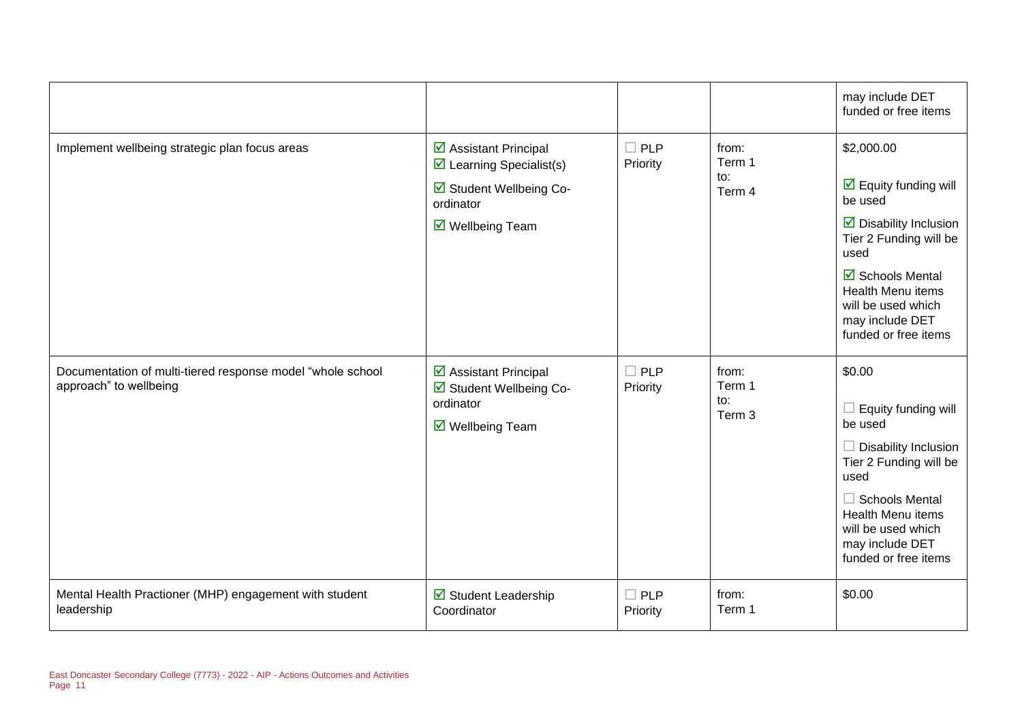|                                                                                      |                                                                                                                            |                        |                                             | may include DET<br>funded or free items                                                                                                                                                                                                                                 |
|--------------------------------------------------------------------------------------|----------------------------------------------------------------------------------------------------------------------------|------------------------|---------------------------------------------|-------------------------------------------------------------------------------------------------------------------------------------------------------------------------------------------------------------------------------------------------------------------------|
| Implement wellbeing strategic plan focus areas                                       | ☑ Assistant Principal<br>$\triangleright$ Learning Specialist(s)<br>Student Wellbeing Co-<br>ordinator<br>☑ Wellbeing Team | $\Box$ PLP<br>Priority | from:<br>Term 1<br>to:<br>Term 4            | \$2,000.00<br>$\overline{\mathbf{y}}$ Equity funding will<br>be used<br>$\triangleright$ Disability Inclusion<br>Tier 2 Funding will be<br>used<br><b>Ø</b> Schools Mental<br><b>Health Menu items</b><br>will be used which<br>may include DET<br>funded or free items |
| Documentation of multi-tiered response model "whole school<br>approach" to wellbeing | ☑ Assistant Principal<br>☑ Student Wellbeing Co-<br>ordinator<br>$\overline{\mathbf{M}}$ Wellbeing Team                    | $\Box$ PLP<br>Priority | from:<br>Term 1<br>$\mathsf{to}:$<br>Term 3 | \$0.00<br>Equity funding will<br>be used<br><b>Disability Inclusion</b><br>Tier 2 Funding will be<br>used<br>$\Box$ Schools Mental<br><b>Health Menu items</b><br>will be used which<br>may include DET<br>funded or free items                                         |
| Mental Health Practioner (MHP) engagement with student<br>leadership                 | $\boxtimes$ Student Leadership<br>Coordinator                                                                              | $\Box$ PLP<br>Priority | from:<br>Term 1                             | \$0.00                                                                                                                                                                                                                                                                  |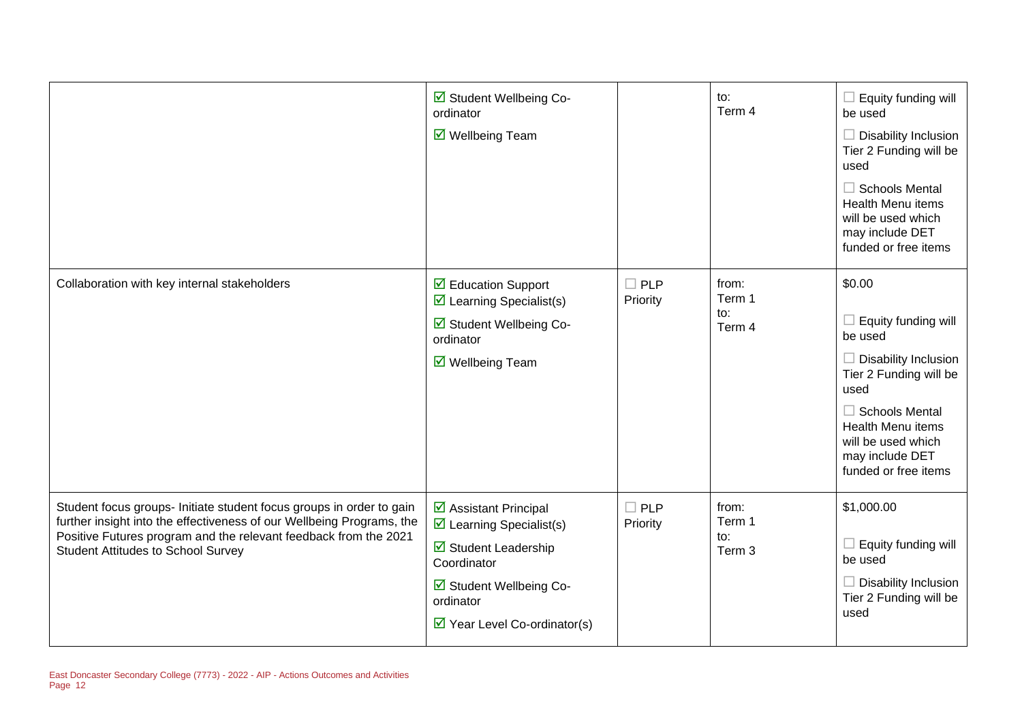|                                                                                                                                                                                                                                                                | ☑ Student Wellbeing Co-<br>ordinator<br>$\overline{\mathbf{M}}$ Wellbeing Team                                                                                                                           |                           | to:<br>Term 4                    | $\Box$ Equity funding will<br>be used<br>$\Box$ Disability Inclusion<br>Tier 2 Funding will be<br>used<br>$\Box$ Schools Mental<br><b>Health Menu items</b><br>will be used which<br>may include DET<br>funded or free items    |
|----------------------------------------------------------------------------------------------------------------------------------------------------------------------------------------------------------------------------------------------------------------|----------------------------------------------------------------------------------------------------------------------------------------------------------------------------------------------------------|---------------------------|----------------------------------|---------------------------------------------------------------------------------------------------------------------------------------------------------------------------------------------------------------------------------|
| Collaboration with key internal stakeholders                                                                                                                                                                                                                   | ☑ Education Support<br>$\triangleright$ Learning Specialist(s)<br>☑ Student Wellbeing Co-<br>ordinator<br>$\overline{\mathbf{M}}$ Wellbeing Team                                                         | $\square$ PLP<br>Priority | from:<br>Term 1<br>to:<br>Term 4 | \$0.00<br>$\Box$ Equity funding will<br>be used<br>$\Box$ Disability Inclusion<br>Tier 2 Funding will be<br>used<br>$\Box$ Schools Mental<br>Health Menu items<br>will be used which<br>may include DET<br>funded or free items |
| Student focus groups- Initiate student focus groups in order to gain<br>further insight into the effectiveness of our Wellbeing Programs, the<br>Positive Futures program and the relevant feedback from the 2021<br><b>Student Attitudes to School Survey</b> | ☑ Assistant Principal<br>$\triangleright$ Learning Specialist(s)<br>$\boxtimes$ Student Leadership<br>Coordinator<br>☑ Student Wellbeing Co-<br>ordinator<br>$\triangleright$ Year Level Co-ordinator(s) | $\Box$ PLP<br>Priority    | from:<br>Term 1<br>to:<br>Term 3 | \$1,000.00<br>$\Box$ Equity funding will<br>be used<br>Disability Inclusion<br>Tier 2 Funding will be<br>used                                                                                                                   |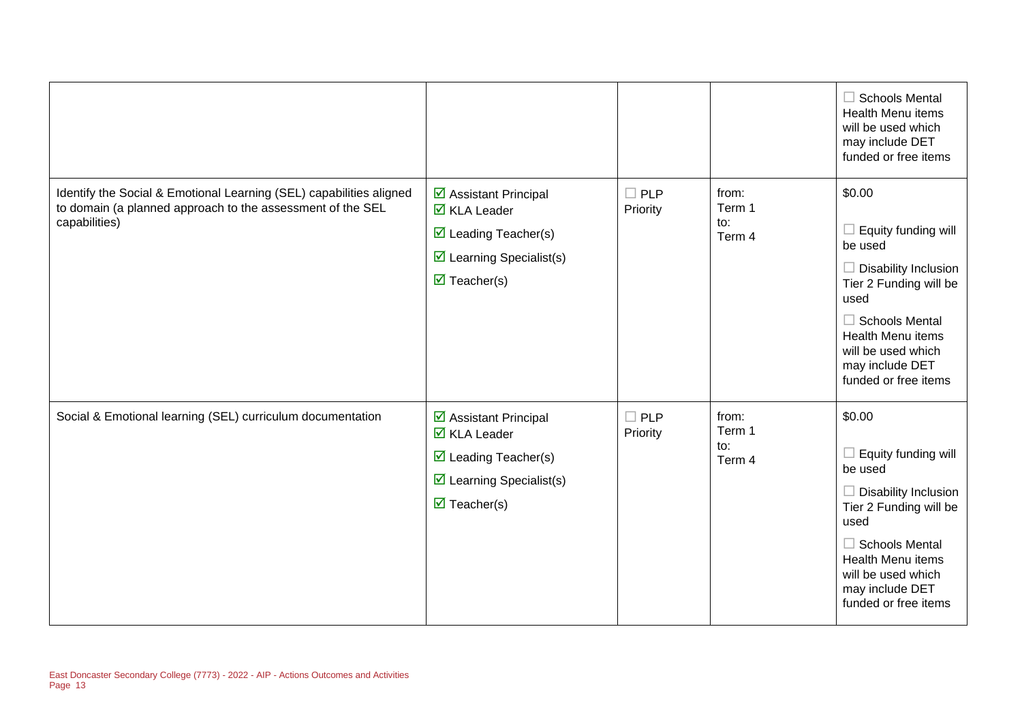|                                                                                                                                                    |                                                                                                                                                                             |                        |                                  | $\Box$ Schools Mental<br><b>Health Menu items</b><br>will be used which<br>may include DET<br>funded or free items                                                                                                                              |
|----------------------------------------------------------------------------------------------------------------------------------------------------|-----------------------------------------------------------------------------------------------------------------------------------------------------------------------------|------------------------|----------------------------------|-------------------------------------------------------------------------------------------------------------------------------------------------------------------------------------------------------------------------------------------------|
| Identify the Social & Emotional Learning (SEL) capabilities aligned<br>to domain (a planned approach to the assessment of the SEL<br>capabilities) | ☑ Assistant Principal<br>$\overline{\mathsf{M}}$ KLA Leader<br>$\triangledown$ Leading Teacher(s)<br>$\triangleright$ Learning Specialist(s)<br>$\triangledown$ Teacher(s)  | $\Box$ PLP<br>Priority | from:<br>Term 1<br>to:<br>Term 4 | \$0.00<br>Equity funding will<br>be used<br><b>Disability Inclusion</b><br>$\mathbf{1}$<br>Tier 2 Funding will be<br>used<br>$\Box$ Schools Mental<br><b>Health Menu items</b><br>will be used which<br>may include DET<br>funded or free items |
| Social & Emotional learning (SEL) curriculum documentation                                                                                         | ☑ Assistant Principal<br>$\overline{\mathbf{M}}$ KLA Leader<br>$\triangleright$ Leading Teacher(s)<br>$\triangleright$ Learning Specialist(s)<br>$\triangledown$ Teacher(s) | $\Box$ PLP<br>Priority | from:<br>Term 1<br>to:<br>Term 4 | \$0.00<br>Equity funding will<br>be used<br>$\Box$ Disability Inclusion<br>Tier 2 Funding will be<br>used<br>$\Box$ Schools Mental<br><b>Health Menu items</b><br>will be used which<br>may include DET<br>funded or free items                 |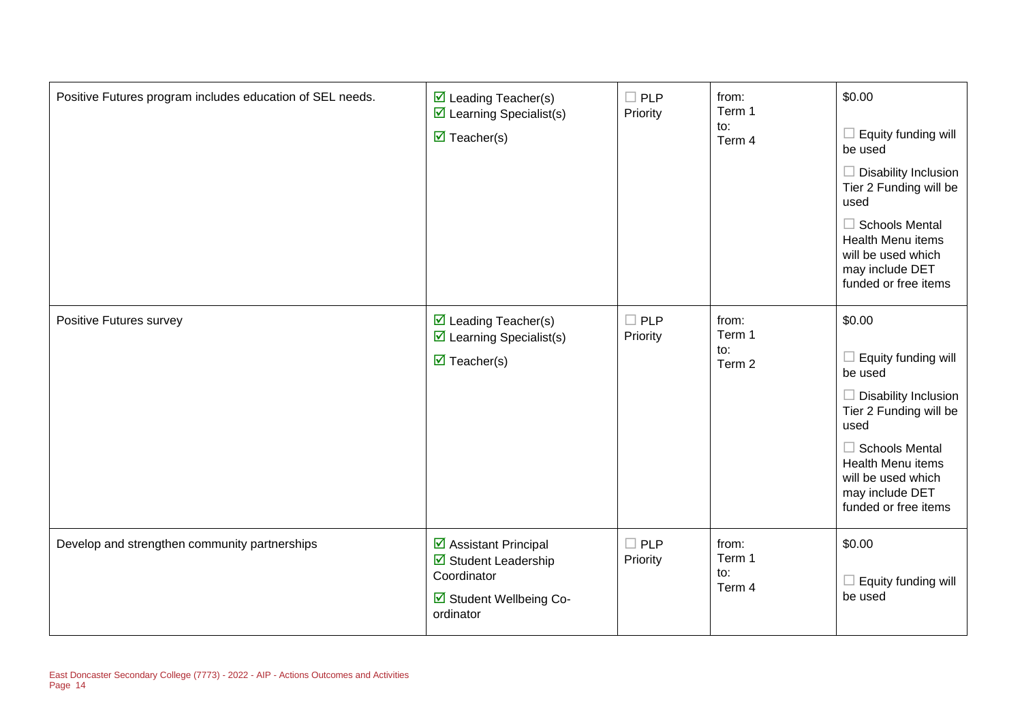| Positive Futures program includes education of SEL needs. | $\triangleright$ Leading Teacher(s)<br>$\triangleright$ Learning Specialist(s)<br>$\triangledown$ Teacher(s)      | $\square$ PLP<br>Priority | from:<br>Term 1<br>to:<br>Term 4 | \$0.00<br>Equity funding will<br>be used<br>$\Box$ Disability Inclusion<br>Tier 2 Funding will be<br>used<br>$\Box$ Schools Mental<br><b>Health Menu items</b><br>will be used which<br>may include DET<br>funded or free items |
|-----------------------------------------------------------|-------------------------------------------------------------------------------------------------------------------|---------------------------|----------------------------------|---------------------------------------------------------------------------------------------------------------------------------------------------------------------------------------------------------------------------------|
| Positive Futures survey                                   | $\triangleright$ Leading Teacher(s)<br>$\triangleright$ Learning Specialist(s)<br>$\triangledown$ Teacher(s)      | $\Box$ PLP<br>Priority    | from:<br>Term 1<br>to:<br>Term 2 | \$0.00<br>Equity funding will<br>be used<br><b>Disability Inclusion</b><br>Tier 2 Funding will be<br>used<br>$\Box$ Schools Mental<br>Health Menu items<br>will be used which<br>may include DET<br>funded or free items        |
| Develop and strengthen community partnerships             | $\triangleright$ Assistant Principal<br>Student Leadership<br>Coordinator<br>☑ Student Wellbeing Co-<br>ordinator | $\square$ PLP<br>Priority | from:<br>Term 1<br>to:<br>Term 4 | \$0.00<br>Equity funding will<br>be used                                                                                                                                                                                        |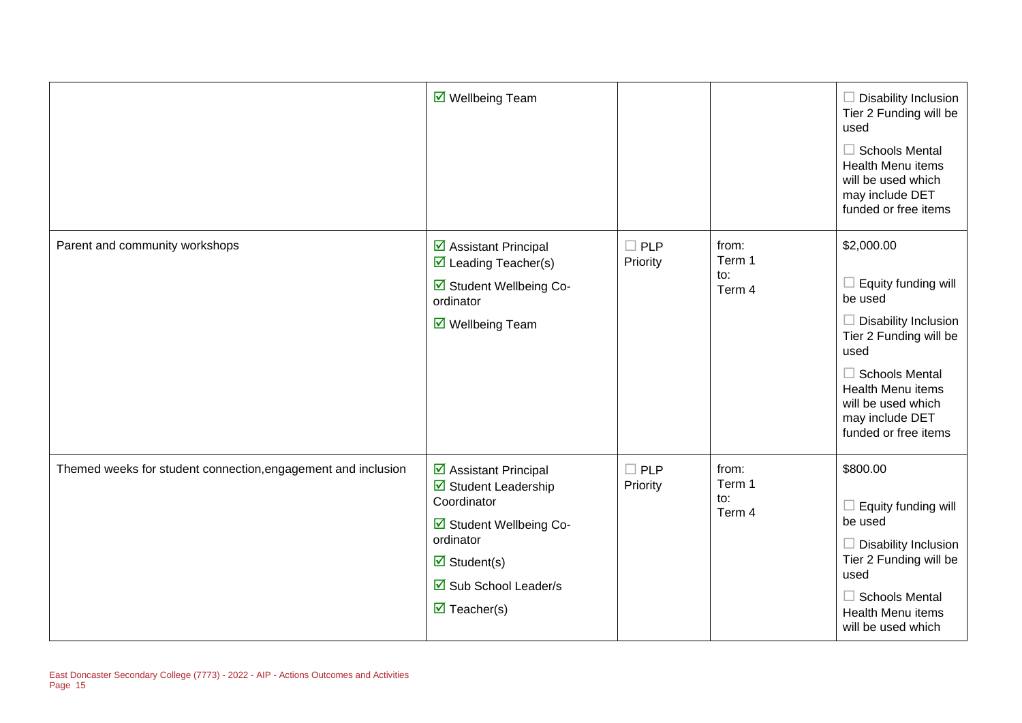|                                                               | ☑ Wellbeing Team                                                                                                                                                                        |                           |                                  | $\Box$ Disability Inclusion<br>Tier 2 Funding will be<br>used<br>$\Box$ Schools Mental<br><b>Health Menu items</b><br>will be used which<br>may include DET<br>funded or free items                                                 |
|---------------------------------------------------------------|-----------------------------------------------------------------------------------------------------------------------------------------------------------------------------------------|---------------------------|----------------------------------|-------------------------------------------------------------------------------------------------------------------------------------------------------------------------------------------------------------------------------------|
| Parent and community workshops                                | ☑ Assistant Principal<br>$\triangleright$ Leading Teacher(s)<br>☑ Student Wellbeing Co-<br>ordinator<br>$\triangledown$ Wellbeing Team                                                  | $\square$ PLP<br>Priority | from:<br>Term 1<br>to:<br>Term 4 | \$2,000.00<br>$\Box$ Equity funding will<br>be used<br>$\Box$ Disability Inclusion<br>Tier 2 Funding will be<br>used<br>$\Box$ Schools Mental<br>Health Menu items<br>will be used which<br>may include DET<br>funded or free items |
| Themed weeks for student connection, engagement and inclusion | ☑ Assistant Principal<br>Student Leadership<br>Coordinator<br>☑ Student Wellbeing Co-<br>ordinator<br>$\triangledown$ Student(s)<br>☑ Sub School Leader/s<br>$\triangledown$ Teacher(s) | $\Box$ PLP<br>Priority    | from:<br>Term 1<br>to:<br>Term 4 | \$800.00<br>$\Box$ Equity funding will<br>be used<br>$\Box$ Disability Inclusion<br>Tier 2 Funding will be<br>used<br>$\Box$ Schools Mental<br>Health Menu items<br>will be used which                                              |